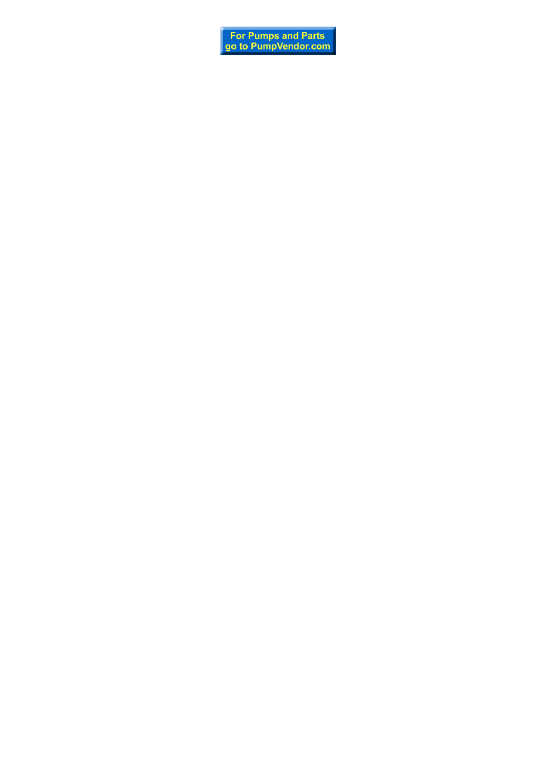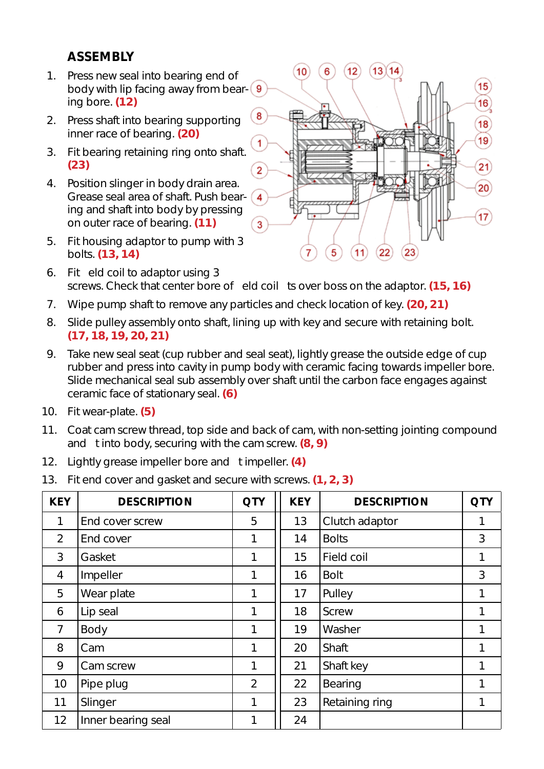# **ASSEMBLY**

- 1. Press new seal into bearing end of body with lip facing away from bearing bore. **(12)**
- 2. Press shaft into bearing supporting inner race of bearing. **(20)**
- 3. Fit bearing retaining ring onto shaft. **(23)**
- 4. Position slinger in body drain area. Grease seal area of shaft. Push bearing and shaft into body by pressing on outer race of bearing. **(11)**
- 5. Fit housing adaptor to pump with 3 bolts. **(13, 14)**



- 6. Fit eld coil to adaptor using 3 screws. Check that center bore of eld coil ts over boss on the adaptor. **(15, 16)**
- 7. Wipe pump shaft to remove any particles and check location of key. **(20, 21)**
- 8. Slide pulley assembly onto shaft, lining up with key and secure with retaining bolt. **(17, 18, 19, 20, 21)**
- 9. Take new seal seat (cup rubber and seal seat), lightly grease the outside edge of cup rubber and press into cavity in pump body with ceramic facing towards impeller bore. Slide mechanical seal sub assembly over shaft until the carbon face engages against ceramic face of stationary seal. **(6)**
- 10. Fit wear-plate. **(5)**
- 11. Coat cam screw thread, top side and back of cam, with non-setting jointing compound and t into body, securing with the cam screw. **(8, 9)**
- 12. Lightly grease impeller bore and t impeller. **(4)**
- 13. Fit end cover and gasket and secure with screws. **(1, 2, 3)**

| <b>KEY</b>      | <b>DESCRIPTION</b> | <b>QTY</b>     | <b>KEY</b> | <b>DESCRIPTION</b> | <b>QTY</b> |
|-----------------|--------------------|----------------|------------|--------------------|------------|
| 1               | End cover screw    | 5              | 13         | Clutch adaptor     | 1          |
| $\overline{2}$  | End cover          | 1              | 14         | <b>Bolts</b>       | 3          |
| 3               | Gasket             | 1              | 15         | Field coil         | 1          |
| 4               | Impeller           | 1              | 16         | <b>Bolt</b>        | 3          |
| 5               | Wear plate         | 1              | 17         | Pulley             | 1          |
| 6               | Lip seal           | 1              | 18         | <b>Screw</b>       | 1          |
| $\overline{7}$  | Body               | 1              | 19         | Washer             | 1          |
| 8               | Cam                | 1              | 20         | Shaft              | 1          |
| 9               | Cam screw          | 1              | 21         | Shaft key          | 1          |
| 10 <sup>°</sup> | Pipe plug          | $\overline{2}$ | 22         | Bearing            | 1          |
| 11              | Slinger            | 1              | 23         | Retaining ring     | 1          |
| 12              | Inner bearing seal | 1              | 24         |                    |            |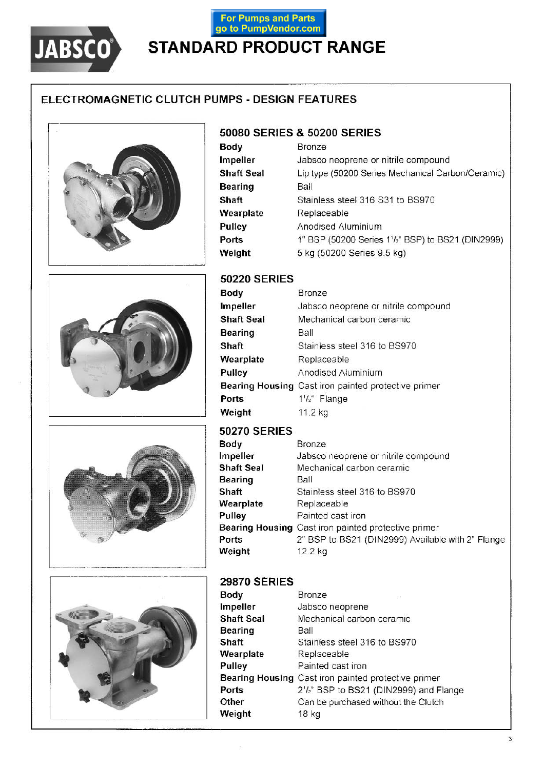

# For Pumps and Parts<br>go to PumpVendor.com **STANDARD PRODUCT RANGE**

## ELECTROMAGNETIC CLUTCH PUMPS - DESIGN FEATURES



### 50080 SERIES & 50200 SERIES

| Body              | Bronze                                            |
|-------------------|---------------------------------------------------|
| Impeller          | Jabsco neoprene or nitrile compound               |
| <b>Shaft Seal</b> | Lip type (50200 Series Mechanical Carbon/Ceramic) |
| <b>Bearing</b>    | Ball                                              |
| Shaft             | Stainless steel 316 S31 to BS970                  |
| Wearplate         | Replaceable                                       |
| Pulley            | Anodised Aluminium                                |
| Ports             | 1" BSP (50200 Series 11/2" BSP) to BS21 (DIN2999) |
| Weight            | 5 kg (50200 Series 9.5 kg)                        |







#### **50220 SERIES**

| Body              | Bronze                                              |
|-------------------|-----------------------------------------------------|
| Impeller          | Jabsco neoprene or nitrile compound                 |
| <b>Shaft Seal</b> | Mechanical carbon ceramic                           |
| <b>Bearing</b>    | Ball                                                |
| Shaft             | Stainless steel 316 to BS970                        |
| Wearplate         | Replaceable                                         |
| Pulley            | Anodised Aluminium                                  |
|                   | Bearing Housing Cast iron painted protective primer |
| Ports             | $1^{1}/2$ " Flange                                  |
| Weight            | 11.2 kg                                             |

### **50270 SERIES**

| Body       | <b>Bronze</b>                                       |
|------------|-----------------------------------------------------|
| Impeller   | Jabsco neoprene or nitrile compound                 |
| Shaft Seal | Mechanical carbon ceramic                           |
| Bearing    | Ball                                                |
| Shaft      | Stainless steel 316 to BS970                        |
| Wearplate  | Replaceable                                         |
| Pulley     | Painted cast iron                                   |
|            | Bearing Housing Cast iron painted protective primer |
| Ports      | 2" BSP to BS21 (DIN2999) Available with 2" Flange   |
| Weight     | 12.2 kg                                             |
|            |                                                     |

#### **29870 SERIES**

 $\epsilon$ 

| Body              | Bronze                                              |
|-------------------|-----------------------------------------------------|
| Impeller          | Jabsco neoprene                                     |
| <b>Shaft Seal</b> | Mechanical carbon ceramic                           |
| <b>Bearing</b>    | Ball                                                |
| Shaft             | Stainless steel 316 to BS970                        |
| Wearplate         | Replaceable                                         |
| Pulley            | Painted cast iron                                   |
|                   | Bearing Housing Cast iron painted protective primer |
| Ports             | 2'/z" BSP to BS21 (DIN2999) and Flange              |
| Other             | Can be purchased without the Clutch                 |
| Weight            | 18 kg                                               |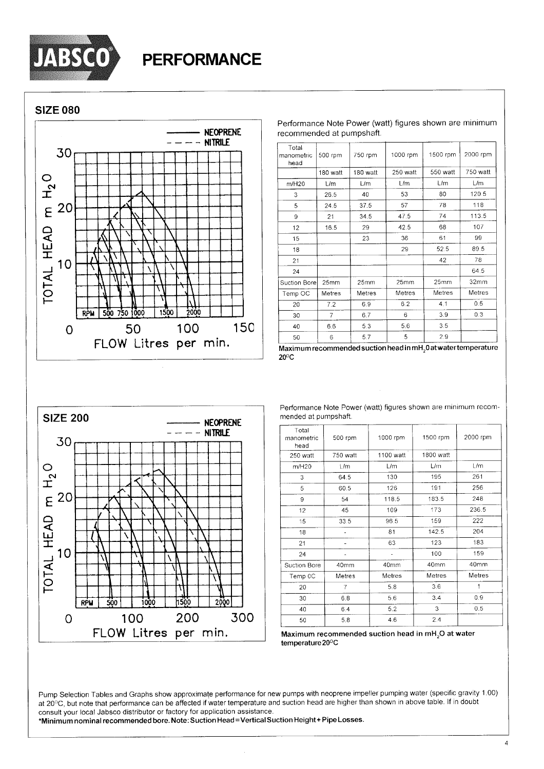

**SIZE 080** 



| Total<br>manometric<br>head | 500 rpm        | 750 rpm       | 1000 rpm | 1500 rpm | 2000 rpm |
|-----------------------------|----------------|---------------|----------|----------|----------|
|                             | 180 watt       | 180 watt      | 250 watt | 550 watt | 750 watt |
| m/H20                       | L/m            | L/m           | L/m      | L/m      | L/m      |
| 3                           | 26.5           | 40            | 53       | 80       | 120.5    |
| 5                           | 24.5           | 37.5          | 57       | 78       | 118      |
| 9                           | 21             | 34.5          | 47.5     | 74       | 113.5    |
| 12                          | 16.5           | 29            | 42.5     | 68       | 107      |
| 15                          |                | 23            | 36       | 61       | 99       |
| 18                          |                |               | 29       | 52.5     | 89.5     |
| 21                          |                |               |          | 42       | 78       |
| 24                          |                |               |          |          | 64.5     |
| Suction Bore                | 25mm           | 25mm          | 25mm     | 25mm     | 32mm     |
| Temp OC                     | Metres         | <b>Metres</b> | Metres   | Metres   | Metres   |
| 20                          | 7.2            | 6.9           | 6.2      | 4.1      | 0.5      |
| 30                          | $\overline{7}$ | 6.7           | 6        | 3.9      | 0.3      |
| 40                          | 6.6            | 5.3           | 5.6      | 3.5      |          |
| 50                          | 6              | 5.7           | 5        | 2.9      |          |

Performance Note Power (watt) figures shown are minimum

recommended at pumpshaft.

Maximum recommended suction head in mH<sub>2</sub>0 at water temperature  $20^{\circ}$ C



Performance Note Power (watt) figures shown are minimum recommended at pumpshaft.

| Total<br>manometric<br>head | 500 rpm    | 1000 rpm  | 1500 rpm  | 2000 rpm |
|-----------------------------|------------|-----------|-----------|----------|
| 250 watt                    | 750 watt   | 1100 watt | 1800 watt |          |
| m/H20                       | L/m        | L/m       | L/m       | L/m      |
| 3                           | 64.5       | 130       | 195       | 261      |
| 5                           | 60.5       | 126       | 191       | 256      |
| 9                           | 54         | 118.5     | 183.5     | 248      |
| 12                          | 45         | 109       | 173       | 236.5    |
| 15                          | 33.5       | 96.5      | 159       | 222      |
| 18                          |            | 81        | 142.5     | 204      |
| 21                          |            | 63        | 123       | 183      |
| 24                          |            |           | 100       | 159      |
| Suction Bore                | 40mm       | 40mm      | 40mm      | 40mm     |
| Temp 0C                     | Metres     | Metres    | Metres    | Metres   |
| 20                          | 7          | 5.8       | 3.6       |          |
| 30                          | 6.8<br>5.6 |           | 3.4       | 0.9      |
| 40                          | 6.4<br>5.2 |           | 3         | 0.5      |
| 50                          | 5.8        | 4.6       | 2.4       |          |

Maximum recommended suction head in mH<sub>2</sub>O at water temperature 20°C

Pump Selection Tables and Graphs show approximate performance for new pumps with neoprene impeller pumping water (specific gravity 1.00) at 20°C, but note that performance can be affected if water temperature and suction head are higher than shown in above table. If in doubt consult your local Jabsco distributor or factory for application assistance.

\*Minimum nominal recommended bore. Note: Suction Head = Vertical Suction Height + Pipe Losses.

 $\overline{4}$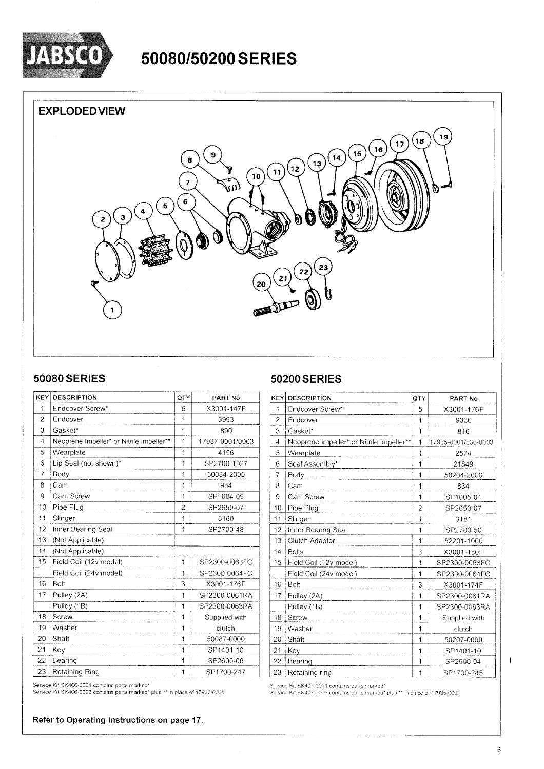

# 50080/50200 SERIES

### **EXPLODED VIEW**



### **50080 SERIES**

| KEY            | <b>DESCRIPTION</b>                       | QTY            | PART No         |
|----------------|------------------------------------------|----------------|-----------------|
| 1              | Endcover Screw*                          | 6              | X3001-147F      |
| $\overline{c}$ | Endcover                                 | 1              | 3993            |
| 3              | Gasket*                                  | 1              | 890             |
| 4              | Neoprene Impeller* or Nitrile Impeller** | 1              | 17937-0001/0003 |
| 5              | Wearplate                                | 1              | 4156            |
| 6              | Lip Seal (not shown)*                    | 1              | SP2700-1027     |
| $\overline{7}$ | Body                                     | 1              | 50084-2000      |
| 8              | Cam                                      | $\overline{1}$ | 934             |
| 9              | Cam Screw                                | 1              | SP1004-09       |
| 10             | Pipe Plug                                | $\overline{2}$ | SP2650-07       |
| 11             | Slinger                                  | 1              | 3180            |
| 12             | Inner Bearing Seal                       | 1              | SP2700-48       |
| 13             | (Not Applicable)                         |                |                 |
| 14             | (Not Applicable)                         |                |                 |
| 15             | Field Coil (12v model)                   | 1              | SP2300-0063FC   |
|                | Field Coil (24v model)                   | 1              | SP2300-0064FC   |
| 16             | Bolt                                     | 3              | X3001-176F      |
| 17             | Pulley (2A)                              | 1              | SP2300-0061RA   |
|                | Pulley (1B)                              | 1              | SP2300-0063RA   |
| 18             | Screw                                    | 1              | Supplied with   |
| 19             | Washer                                   | 1              | clutch          |
| 20             | Shaft                                    | 1              | 50087-0000      |
| 21             | Key                                      | 1              | SP1401-10       |
| 22             | Bearing                                  | 1              | SP2600-06       |
| 23             | Retaining Ring                           | 1              | SP1700-247      |

**50200 SERIES** 

| <b>KEY</b>     | <b>DESCRIPTION</b>                       | QTY            | PART No             |
|----------------|------------------------------------------|----------------|---------------------|
| 1              | Endcover Screw*                          | 5              | X3001-176F          |
| $\overline{a}$ | Endcover                                 | 1              | 9336                |
| 3              | Gasket*                                  | 1              | 816                 |
| $\overline{4}$ | Neoprene Impeller* or Nitrile Impeller** | $\mathbf{1}$   | 17935-0001/836-0003 |
| 5              | Wearplate                                | 1              | 2574                |
| 6              | Seal Assembly*                           | 1              | 21849               |
| 7              | Body                                     | 1              | 50204-2000          |
| 8              | Cam                                      | 1              | 834                 |
| 9              | Cam Screw                                | 1              | SP1005-04           |
| 10             | Pipe Plug                                | $\overline{2}$ | SP2650-07           |
| 11             | Slinger                                  | 1              | 3181                |
| 12             | Inner Bearing Seal                       | 1              | SP2700-50           |
| 13             | Clutch Adaptor                           | 1              | 52201-1000          |
| 14             | <b>Bolts</b>                             | 3              | X3001-180F          |
| 15             | Field Coil (12v model)                   | 1              | SP2300-0063FC       |
|                | Field Coil (24v model)                   | 1              | SP2300-0064FC       |
| 16             | Bolt                                     | 3              | X3001-174F          |
| 17             | Pulley (2A)                              | 1              | SP2300-0061RA       |
|                | Pulley (1B)                              | $\overline{1}$ | SP2300-0063RA       |
| 18             | Screw                                    | 1              | Supplied with       |
| 19             | Washer                                   | 1              | clutch              |
| 20             | Shaft                                    | 1              | 50207-0000          |
| 21             | Key                                      | 1              | SP1401-10           |
| 22             | Bearing                                  | 1              | SP2600-04           |
| 23             | Retaining ring                           | 1              | SP1700-245          |

Service Kit SK406-0001 contains parts marked\*

Service Kit SK406-0003 contains parts marked\* plus \*\* in place of 17937-0001

Refer to Operating Instructions on page 17.

Service Kit SK407-0011 contains parts marked\*<br>Service Kit SK407-0003 contains parts marked\* plus \*\* in place of 17935-0001

 $\overline{1}$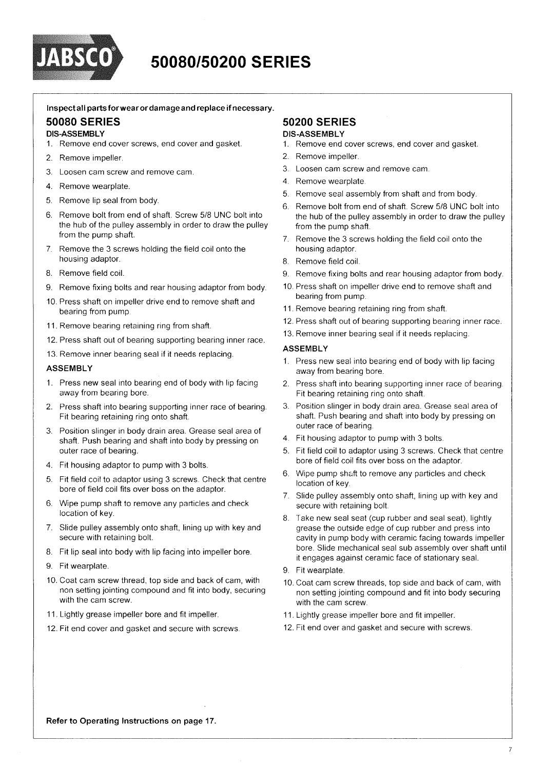

# 50080/50200 SERIES

#### Inspectall parts for wear or damage and replace if necessary.

#### **50080 SERIES**

#### **DIS-ASSEMBLY**

- 1. Remove end cover screws, end cover and gasket.
- 2. Remove impeller.
- 3. Loosen cam screw and remove cam.
- 4. Remove wearplate.
- 5. Remove lip seal from body.
- Remove bolt from end of shaft. Screw 5/8 UNC bolt into 6. the hub of the pulley assembly in order to draw the pulley from the pump shaft.
- 7. Remove the 3 screws holding the field coil onto the housing adaptor.
- 8. Remove field coil
- 9. Remove fixing bolts and rear housing adaptor from body.
- 10. Press shaft on impeller drive end to remove shaft and bearing from pump
- 11. Remove bearing retaining ring from shaft.
- 12. Press shaft out of bearing supporting bearing inner race.
- 13. Remove inner bearing seal if it needs replacing.

#### **ASSEMBLY**

- 1. Press new seal into bearing end of body with lip facing away from bearing bore.
- 2. Press shaft into bearing supporting inner race of bearing. Fit bearing retaining ring onto shaft.
- 3 Position slinger in body drain area. Grease seal area of shaft. Push bearing and shaft into body by pressing on outer race of bearing.
- 4. Fit housing adaptor to pump with 3 bolts.
- 5. Fit field coil to adaptor using 3 screws. Check that centre bore of field coil fits over boss on the adaptor.
- Wipe pump shaft to remove any particles and check 6. location of key.
- 7. Slide pulley assembly onto shaft, lining up with key and secure with retaining bolt.
- 8. Fit lip seal into body with lip facing into impeller bore.
- 9. Fit wearplate.
- 10. Coat cam screw thread, top side and back of cam, with non setting jointing compound and fit into body, securing with the cam screw
- 11. Lightly grease impeller bore and fit impeller.
- 12. Fit end cover and gasket and secure with screws.

#### **50200 SERIES DIS-ASSEMBLY**

- 1. Remove end cover screws, end cover and gasket.
- 2. Remove impeller.
- 3. Loosen cam screw and remove cam.
- 4. Remove wearplate.
- 5. Remove seal assembly from shaft and from body.
- 6. Remove bolt from end of shaft. Screw 5/8 UNC bolt into the hub of the pulley assembly in order to draw the pulley from the pump shaft.
- 7. Remove the 3 screws holding the field coil onto the housing adaptor.
- 8. Remove field coil.
- 9. Remove fixing bolts and rear housing adaptor from body.
- 10. Press shaft on impeller drive end to remove shaft and bearing from pump.
- 11. Remove bearing retaining ring from shaft.
- 12. Press shaft out of bearing supporting bearing inner race.
- 13. Remove inner bearing seal if it needs replacing.

#### **ASSEMBLY**

- 1. Press new seal into bearing end of body with lip facing away from bearing bore.
- 2. Press shaft into bearing supporting inner race of bearing. Fit bearing retaining ring onto shaft.
- 3. Position slinger in body drain area. Grease seal area of shaft. Push bearing and shaft into body by pressing on outer race of bearing.
- 4. Fit housing adaptor to pump with 3 bolts.
- 5. Fit field coil to adaptor using 3 screws. Check that centre bore of field coil fits over boss on the adaptor.
- 6. Wipe pump shaft to remove any particles and check location of key.
- 7. Slide pulley assembly onto shaft, lining up with key and secure with retaining bolt.
- 8. Take new seal seat (cup rubber and seal seat), lightly grease the outside edge of cup rubber and press into cavity in pump body with ceramic facing towards impeller bore. Slide mechanical seal sub assembly over shaft until it engages against ceramic face of stationary seal.
- 9. Fit wearplate.
- 10. Coat cam screw threads, top side and back of cam, with non setting jointing compound and fit into body securing with the cam screw.
- 11. Lightly grease impeller bore and fit impeller.
- 12. Fit end over and gasket and secure with screws.

Refer to Operating Instructions on page 17.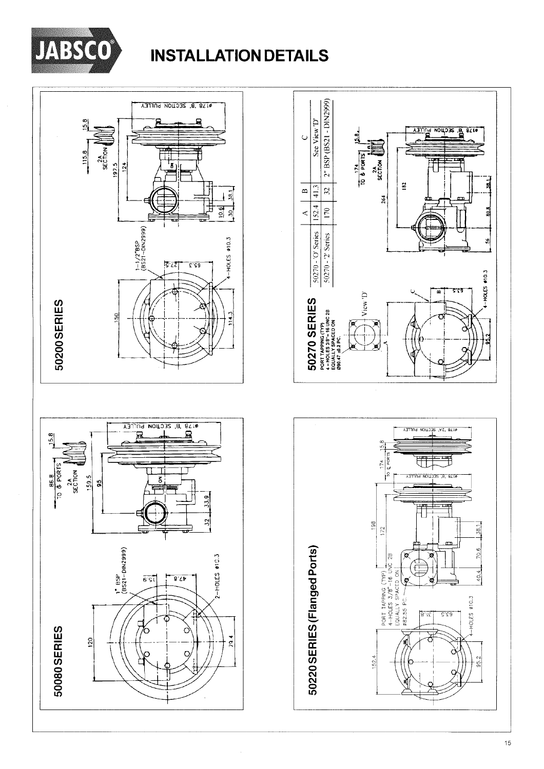

# **INSTALLATION DETAILS**



 $\frac{a}{b}$  acquon  $\frac{a}{b}$ 

玥

æ

 $rac{2A}{5ECDOM}$ 

264

 $15.8$ 

 $\frac{8}{2}$  $172$ 

 $152.4$ 

18  $\overline{174}$ 

 $\begin{array}{|l|l|}\n\hline\n\text{PORT APPING (TP)} \\
\hline\n4-HOLES 3/8" - 16 UNC 2B\n\end{array}$ <br>
EQUALLY SPACED ON

Ł

182

 $\overline{9}$  $\overline{1}$ 

ä

ã

 $\tilde{\mathbf{z}}$ 

HOLES #10.3

تشقق

é

VZ, 871 SECTION PULLEY

 $\overline{\mathbb{d}}$ 

ЗЕСТОМ РУЦІ

鬥

ิช

 $8.15$ 

 $5.56$ 

 $\overline{a}$ ,  $\overline{a}$ 

 $\frac{1}{5}$ 

70.6

40.4

**I-HOLES #10.3** 

தி